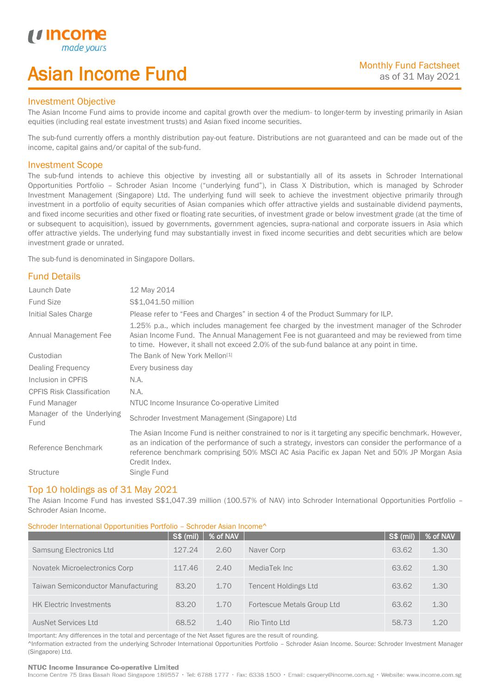# Asian Income Fund

## Investment Objective

u incor

I

The Asian Income Fund aims to provide income and capital growth over the medium- to longer-term by investing primarily in Asian equities (including real estate investment trusts) and Asian fixed income securities.

The sub-fund currently offers a monthly distribution pay-out feature. Distributions are not guaranteed and can be made out of the income, capital gains and/or capital of the sub-fund.

## Investment Scope

The sub-fund intends to achieve this objective by investing all or substantially all of its assets in Schroder International Opportunities Portfolio – Schroder Asian Income ("underlying fund"), in Class X Distribution, which is managed by Schroder Investment Management (Singapore) Ltd. The underlying fund will seek to achieve the investment objective primarily through investment in a portfolio of equity securities of Asian companies which offer attractive yields and sustainable dividend payments, and fixed income securities and other fixed or floating rate securities, of investment grade or below investment grade (at the time of or subsequent to acquisition), issued by governments, government agencies, supra-national and corporate issuers in Asia which offer attractive yields. The underlying fund may substantially invest in fixed income securities and debt securities which are below investment grade or unrated.

The sub-fund is denominated in Singapore Dollars.

## Fund Details

| Launch Date                       | 12 May 2014                                                                                                                                                                                                                                                                                                                 |
|-----------------------------------|-----------------------------------------------------------------------------------------------------------------------------------------------------------------------------------------------------------------------------------------------------------------------------------------------------------------------------|
| <b>Fund Size</b>                  | \$\$1,041.50 million                                                                                                                                                                                                                                                                                                        |
| Initial Sales Charge              | Please refer to "Fees and Charges" in section 4 of the Product Summary for ILP.                                                                                                                                                                                                                                             |
| Annual Management Fee             | 1.25% p.a., which includes management fee charged by the investment manager of the Schroder<br>Asian Income Fund. The Annual Management Fee is not guaranteed and may be reviewed from time<br>to time. However, it shall not exceed 2.0% of the sub-fund balance at any point in time.                                     |
| Custodian                         | The Bank of New York Mellon <sup>[1]</sup>                                                                                                                                                                                                                                                                                  |
| Dealing Frequency                 | Every business day                                                                                                                                                                                                                                                                                                          |
| Inclusion in CPFIS                | N.A.                                                                                                                                                                                                                                                                                                                        |
| <b>CPFIS Risk Classification</b>  | N.A.                                                                                                                                                                                                                                                                                                                        |
| Fund Manager                      | NTUC Income Insurance Co-operative Limited                                                                                                                                                                                                                                                                                  |
| Manager of the Underlying<br>Fund | Schroder Investment Management (Singapore) Ltd                                                                                                                                                                                                                                                                              |
| Reference Benchmark               | The Asian Income Fund is neither constrained to nor is it targeting any specific benchmark. However,<br>as an indication of the performance of such a strategy, investors can consider the performance of a<br>reference benchmark comprising 50% MSCI AC Asia Pacific ex Japan Net and 50% JP Morgan Asia<br>Credit Index. |
| <b>Structure</b>                  | Single Fund                                                                                                                                                                                                                                                                                                                 |

### Top 10 holdings as of 31 May 2021

The Asian Income Fund has invested S\$1,047.39 million (100.57% of NAV) into Schroder International Opportunities Portfolio – Schroder Asian Income.

## Schroder International Opportunities Portfolio – Schroder Asian Income^

|                                    | <b>S\$ (mil)</b> | % of NAV |                             | S\$ (mil) | % of NAV |
|------------------------------------|------------------|----------|-----------------------------|-----------|----------|
| Samsung Electronics Ltd            | 127.24           | 2.60     | Naver Corp                  | 63.62     | 1.30     |
| Novatek Microelectronics Corp      | 117.46           | 2.40     | MediaTek Inc                | 63.62     | 1.30     |
| Taiwan Semiconductor Manufacturing | 83.20            | 1.70     | <b>Tencent Holdings Ltd</b> | 63.62     | 1.30     |
| <b>HK Electric Investments</b>     | 83.20            | 1.70     | Fortescue Metals Group Ltd  | 63.62     | 1.30     |
| <b>AusNet Services Ltd</b>         | 68.52            | 1.40     | Rio Tinto Ltd               | 58.73     | 1.20     |

Important: Any differences in the total and percentage of the Net Asset figures are the result of rounding. ^Information extracted from the underlying Schroder International Opportunities Portfolio – Schroder Asian Income. Source: Schroder Investment Manager (Singapore) Ltd.

#### NTUC Income Insurance Co-operative Limited

Income Centre 75 Bras Basah Road Singapore 189557 · Tel: 6788 1777 · Fax: 6338 1500 · Email: csquery@income.com.sg · Website: www.income.com.sg